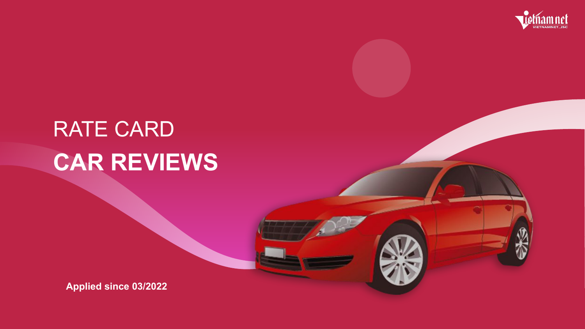# RATE CARD CAR REVIEWS

**Applied since 03/2022** 





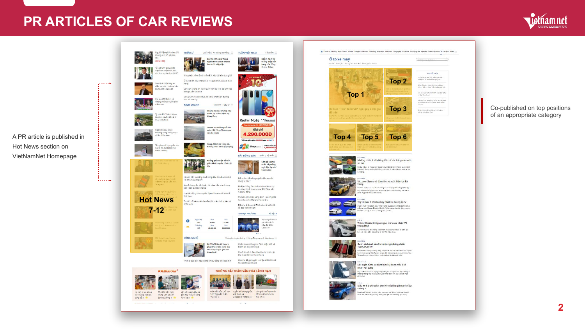## **PR ARTICLES OF CAR REVIEWS**

 $\mathcal{L} = \mathcal{L} + \mathcal{L} + \mathcal{L}$ 

 $\mathbf{1} = \mathbf{1} = \mathbf{1} + \mathbf{1} + \mathbf{1} + \mathbf{1} + \mathbf{1} + \mathbf{1} + \mathbf{1} + \mathbf{1} + \mathbf{1} + \mathbf{1} + \mathbf{1} + \mathbf{1} + \mathbf{1} + \mathbf{1} + \mathbf{1} + \mathbf{1} + \mathbf{1} + \mathbf{1} + \mathbf{1} + \mathbf{1} + \mathbf{1} + \mathbf{1} + \mathbf{1} + \mathbf{1} + \mathbf{1} + \mathbf{1} + \mathbf{1} + \mathbf{1} + \mathbf{1} + \mathbf$ 

A PR article is published in Hot News section on **VietNamNet Homepage** 



Người Việt tại Ukraine: Sẽ không ai bị bỏ lại phía. sau **CHÍNH TRI** 

**THỜI SỰ** 

dang

trong quán karaoke

tính với ma túy

**KINH DOANH** 

Quốc hội | An toàn giao thông

Bắc Kạn thu giữ hàng

Covid-19 nhập lậu

Mưa phùn, nồm ẩm ở miền Bắc kéo dài đến bao giờ?

Ô tô lao lên cầu vượt đi bộ, 1 người chết, đầu xe biển

Công an thông tin vụ cô gái nhấy lầu vì bị ép làm việc

Uống rượu hoa anh túc, tài xế bị phát hiện dương

nghìn bộ kit test nhanh

Tài chính | Đầu tư $\equiv$ 

Chúng ta mắc chứng hay<br>quên, lại thêm bệnh tự

Thanh tra Chính phủ vào

cuộc, Bộ Công Thương ra

Vàng đất chưa từng có,

Không phân biệt đối xử

10 năm liên tục tăng thuế xăng dầu, lần đầu tiên Bộ

Hơn 3 tháng tặc vẫn hoàn tắc, dưa hấu, thanh long

Loạt tác động từ xung đột Nga - Ukraine tới kinh tế

Tin dữ mỗi sáng, sếp lao đạo khi nhận thông báo từ

Mua

22.670

Mua

68.000.000

giữa khách quốc tế và nội

Bán

22.980

Bán

69.000.000

hướng mốc 68 triệu/lượng

bằng lòng

văn bản gấp

TUẦN VIỆT NAM

 $211$ 

**SINH NHÂT** 

10.

Redmi Note 11 4GB | 128GB Dung lượng gặp đài - GIÁ KHÔNG ĐỐI

Giá chỉ

4.290.000D

\*Đã bao gồm giảm 300,0000 qua VNPAY®

**FEW Shop.com.vn** Motline mile ph

BẤT ĐỘNG SẢN Dự án | Nội thất

Đất vườn, đất nông nghiệp liên tục sốt

Bà Rịa - Vũng Tàu chấp thuận đầu tư dự

án Khu nhà ở thương mại Đồi Vàng gần

Phố đi bộ Pont de Long Bien - mảnh ghép

Biệt thự 2 tầng mái Thái gây mê bởi thiết

hoàn hảo cho Mailand Hanoi City

nóng: vì đậu?

1.200 tỷ đồng

kế đẹp và tiện nghi

TIN ĐỊA PHƯƠNG

Căn hộ 130m2

thiết kế phòng

ngủ độc, lạ như boong tàu

Hà nội v

Hy vọng từ đánh

giá viễn cảnh

hậu đại dịch

Covid-19

Tiêu điểm

Ngắm ngợi từ

thông điệp liên

bang của Tổng

thống Biden



'Ông trùm' <mark>giàu nhấ</mark>t Việt Nam một thời, dồn sức làm vụ lớn 2,5 tỷ USD



điều tra, xác minh tại các bộ ngành liên quan



Đại gia U50 đi tìm vơ nhưng không muốn sinh thêm con



Tỷ phú Bùi Thành Nhơn bản tin, nguồn tiên 2 tỷ USD sắp đổ về

Nga tiết lộ quân số thư<mark>ơn</mark>g vong trong cuộc chiến ở Ukraine

> Tăng hạn sử dụng vắc xin Covid-19 của Moderna thêm 2 tháng





**Hot News** 





Nghịch lý lao động TP.HCM kiên nghị Lên kê hoạch đấu giá

Việt: Càng học cao, Trung ương bổ trí gần 102 triệu lít xăng

 $\frac{1}{2}$  càng dễ  $\frac{1}{2}$   $\frac{1}{2}$  6.500 tỷ đồng  $\frac{1}{2}$  RON 92  $\frac{1}{2}$ 

<u>recommendation</u> and a state of the state of the state of the state of the state of the state of the state of the



Tài chính quyết giảm

Việt Nam

nhân viên

 $\bullet$ 

1876.

còn 1.000-2.000 đồng/kg

Ngoại tê

**USD** 

Giá vàng

sjc

Thiết bị đặc biệt này có thể tìm sự sống trên sao Kim







tốc của Chủ tịch Hà



nước Nguyễn Xuân - Việt Nam và

 $\mathcal{L}_1(\mathcal{L}_1) = \mathcal{L}_2(\mathcal{L}_2) = \mathcal{L}_3(\mathcal{L}_3) = \mathcal{L}_4(\mathcal{L}_4) = \mathcal{L}_5(\mathcal{L}_5) = \mathcal{L}_6(\mathcal{L}_6) = \mathcal{L}_7(\mathcal{L}_6) = \mathcal{L}_8(\mathcal{L}_7) = \mathcal{L}_8(\mathcal{L}_7) = \mathcal{L}_8(\mathcal{L}_7) = \mathcal{L}_9(\mathcal{L}_8) = \mathcal{L}_9(\mathcal{L}_9) = \mathcal{L}_9(\mathcal{L}_9) = \mathcal{L}_9(\mathcal{L$ 



Phát biểu của Chủ tịch Tuyên bố chung giữa Công văn chỉ đạo hòa Phúc tại \* Singapore về tăng \* Nội khi \*

contract of the contract



Thông tin truyền thông | Cộng đồng mạng | Ứng dụng  $\equiv$ 

Chiến tranh thông tin: Cách nhận biết và

tránh lan truyền tin giả

Chuỗi lấu đình đá<mark>m Haidila</mark>o bị tổ bí mật

thu thập dữ liệu khách hàng

Ukraine đã giải ngân 14 triệu USD tiền mã hóa được quyên góp





### Co-published on top positions of an appropriate category

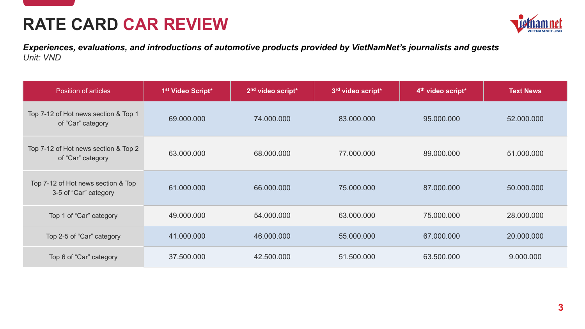

| <b>Position of articles</b>                                 | 1 <sup>st</sup> Video Script* | 2 <sup>nd</sup> video script* | 3rd video script* | 4 <sup>th</sup> video script <sup>*</sup> | <b>Text News</b> |
|-------------------------------------------------------------|-------------------------------|-------------------------------|-------------------|-------------------------------------------|------------------|
| Top 7-12 of Hot news section & Top 1<br>of "Car" category   | 69.000.000                    | 74.000.000                    | 83.000.000        | 95.000.000                                | 52.000.000       |
| Top 7-12 of Hot news section & Top 2<br>of "Car" category   | 63.000.000                    | 68.000.000                    | 77.000.000        | 89.000.000                                | 51.000.000       |
| Top 7-12 of Hot news section & Top<br>3-5 of "Car" category | 61.000.000                    | 66.000.000                    | 75.000.000        | 87.000.000                                | 50.000.000       |
| Top 1 of "Car" category                                     | 49.000.000                    | 54.000.000                    | 63.000.000        | 75.000.000                                | 28.000.000       |
| Top 2-5 of "Car" category                                   | 41.000.000                    | 46.000.000                    | 55.000.000        | 67.000.000                                | 20.000.000       |
| Top 6 of "Car" category                                     | 37.500.000                    | 42.500.000                    | 51.500.000        | 63.500.000                                | 9.000.000        |







## **RATE CARD CAR REVIEW**

*Experiences, evaluations, and introductions of automotive products provided by VietNamNet's journalists and guests Unit: VND*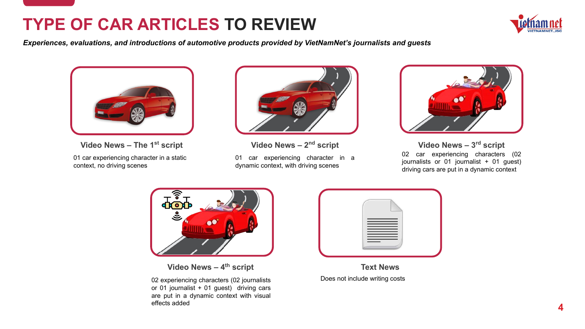

## **TYPE OF CAR ARTICLES TO REVIEW**

*Experiences, evaluations, and introductions of automotive products provided by VietNamNet's journalists and guests*



### **Text News**

Does not include writing costs



**Video News – The 1st script**

01 car experiencing character in a static context, no driving scenes



01 car experiencing character in a dynamic context, with driving scenes



### **Video News – 4th script**

02 car experiencing characters (02 journalists or 01 journalist + 01 guest) driving cars are put in a dynamic context **Video News – 3 rd script**



02 experiencing characters (02 journalists or 01 journalist + 01 guest) driving cars are put in a dynamic context with visual effects added





**Video News – 2<sup>nd</sup> script**